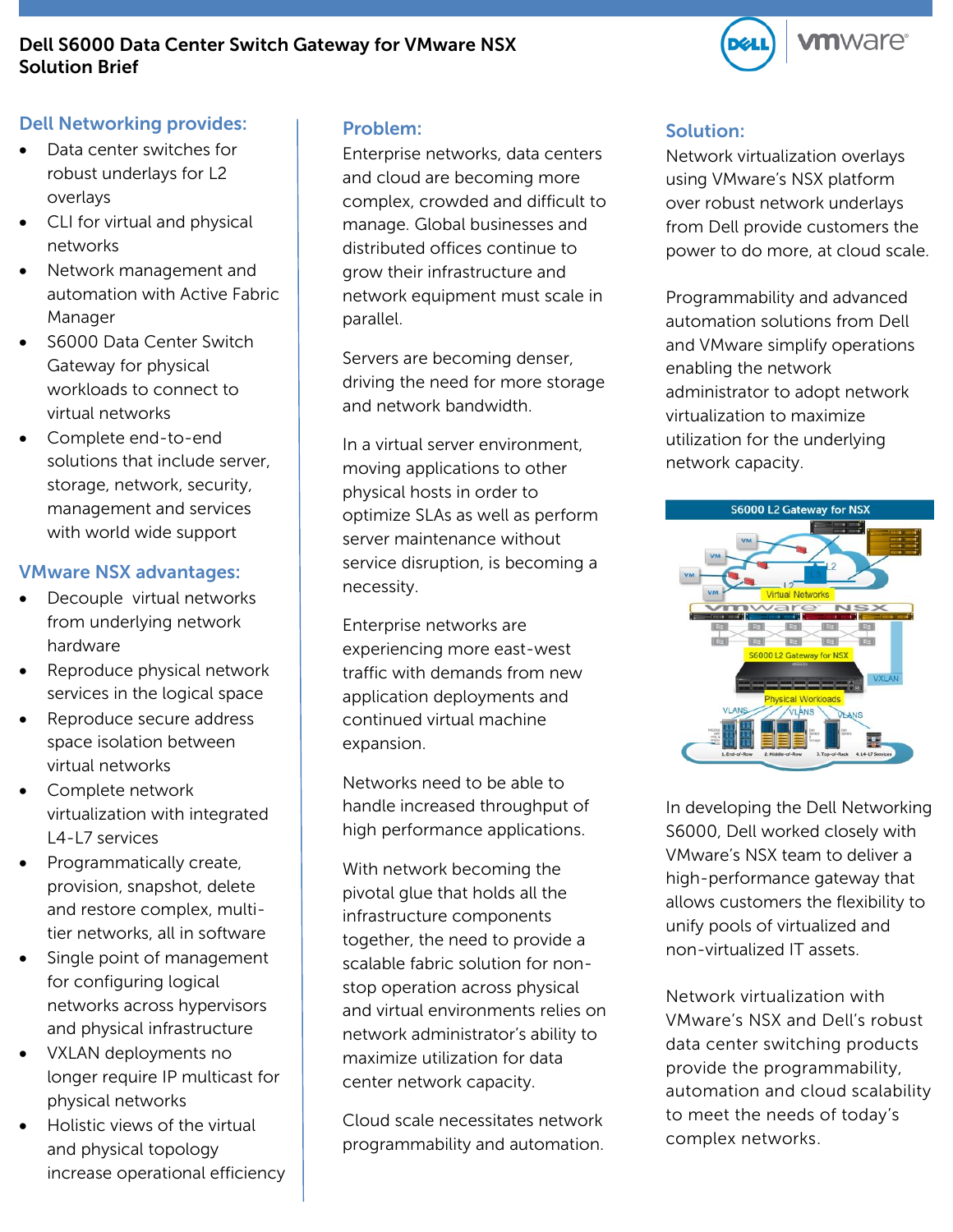## **Dell S6000 Data Center Switch Gateway for VMware NSX Solution Brief**



## **Dell Networking provides:**

- Data center switches for robust underlays for L2 overlays
- CLI for virtual and physical networks
- Network management and automation with Active Fabric Manager
- S6000 Data Center Switch Gateway for physical workloads to connect to virtual networks
- Complete end-to-end solutions that include server, storage, network, security, management and services with world wide support

### **VMware NSX advantages:**

- Decouple virtual networks from underlying network hardware
- Reproduce physical network services in the logical space
- Reproduce secure address space isolation between virtual networks
- Complete network virtualization with integrated L4-L7 services
- Programmatically create, provision, snapshot, delete and restore complex, multitier networks, all in software
- Single point of management for configuring logical networks across hypervisors and physical infrastructure
- VXLAN deployments no longer require IP multicast for physical networks
- Holistic views of the virtual and physical topology increase operational efficiency

### **Problem:**

Enterprise networks, data centers and cloud are becoming more complex, crowded and difficult to manage. Global businesses and distributed offices continue to grow their infrastructure and network equipment must scale in parallel.

Servers are becoming denser, driving the need for more storage and network bandwidth.

In a virtual server environment, moving applications to other physical hosts in order to optimize SLAs as well as perform server maintenance without service disruption, is becoming a necessity.

Enterprise networks are experiencing more east-west traffic with demands from new application deployments and continued virtual machine expansion.

Networks need to be able to handle increased throughput of high performance applications.

With network becoming the pivotal glue that holds all the infrastructure components together, the need to provide a scalable fabric solution for nonstop operation across physical and virtual environments relies on network administrator's ability to maximize utilization for data center network capacity.

Cloud scale necessitates network programmability and automation.

### **Solution:**

Network virtualization overlays using VMware's NSX platform over robust network underlays from Dell provide customers the power to do more, at cloud scale.

Programmability and advanced automation solutions from Dell and VMware simplify operations enabling the network administrator to adopt network virtualization to maximize utilization for the underlying network capacity.



In developing the Dell Networking S6000, Dell worked closely with VMware's NSX team to deliver a high-performance gateway that allows customers the flexibility to unify pools of virtualized and non-virtualized IT assets.

Network virtualization with VMware's NSX and Dell's robust data center switching products provide the programmability, automation and cloud scalability to meet the needs of today's complex networks.